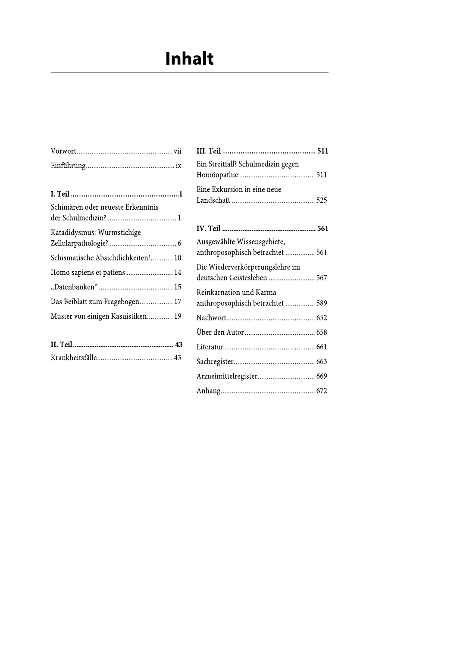# Inhalt

| Schimären oder neueste Erkenntnis   |
|-------------------------------------|
| Katadidysmus: Wurmstichige          |
| Schismatische Absichtlichkeiten! 10 |
| Homo sapiens et patiens  14         |
|                                     |
| Das Beiblatt zum Fragebogen 17      |
| Muster von einigen Kasuistiken 19   |
|                                     |

|  | <b>LILEI</b> |
|--|--------------|
|  | Sach         |

| Ein Streitfall? Schulmedizin gegen                              |
|-----------------------------------------------------------------|
| Eine Exkursion in eine neue                                     |
|                                                                 |
| Ausgewählte Wissensgebiete,<br>anthroposophisch betrachtet  561 |
| Die Wiederverkörperungslehre im<br>deutschen Geistesleben  567  |
| Reinkarnation und Karma<br>anthroposophisch betrachtet  589     |
|                                                                 |
|                                                                 |
|                                                                 |
|                                                                 |
| Arzneimittelregister 669                                        |
|                                                                 |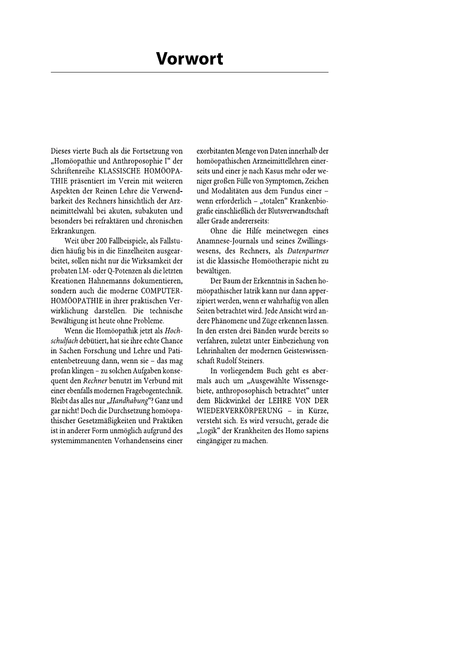Dieses vierte Buch als die Fortsetzung von "Homöopathie und Anthroposophie I" der Schriftenreihe KLASSISCHE HOMÖOPA-THIE präsentiert im Verein mit weiteren Aspekten der Reinen Lehre die Verwendbarkeit des Rechners hinsichtlich der Arzneimittelwahl bei akuten, subakuten und besonders bei refraktären und chronischen Erkrankungen.

Weit über 200 Fallbeispiele, als Fallstudien häufig bis in die Einzelheiten ausgearbeitet, sollen nicht nur die Wirksamkeit der probaten LM- oder Q-Potenzen als die letzten Kreationen Hahnemanns dokumentieren, sondern auch die moderne COMPUTER-HOMÖOPATHIE in ihrer praktischen Verwirklichung darstellen. Die technische Bewältigung ist heute ohne Probleme.

Wenn die Homöopathik jetzt als Hochschulfach debütiert, hat sie ihre echte Chance in Sachen Forschung und Lehre und Patientenbetreuung dann, wenn sie - das mag profan klingen – zu solchen Aufgaben konsequent den Rechner benutzt im Verbund mit einer ebenfalls modernen Fragebogentechnik. Bleibt das alles nur "Handhabung"? Ganz und gar nicht! Doch die Durchsetzung homöopathischer Gesetzmäßigkeiten und Praktiken ist in anderer Form unmöglich aufgrund des systemimmanenten Vorhandenseins einer

exorbitanten Menge von Daten innerhalb der homöopathischen Arzneimittellehren einerseits und einer je nach Kasus mehr oder weniger großen Fülle von Symptomen, Zeichen und Modalitäten aus dem Fundus einer wenn erforderlich - "totalen" Krankenbiografie einschließlich der Blutsverwandtschaft aller Grade andererseits:

Ohne die Hilfe meinetwegen eines Anamnese-Journals und seines Zwillingswesens, des Rechners, als Datenpartner ist die klassische Homöotherapie nicht zu bewältigen.

Der Baum der Erkenntnis in Sachen homöopathischer Iatrik kann nur dann apperzipiert werden, wenn er wahrhaftig von allen Seiten betrachtet wird. Jede Ansicht wird andere Phänomene und Züge erkennen lassen. In den ersten drei Bänden wurde bereits so verfahren, zuletzt unter Einbeziehung von Lehrinhalten der modernen Geisteswissenschaft Rudolf Steiners.

In vorliegendem Buch geht es abermals auch um "Ausgewählte Wissensgebiete, anthroposophisch betrachtet" unter dem Blickwinkel der LEHRE VON DER WIEDERVERKÖRPERUNG - in Kürze, versteht sich. Es wird versucht, gerade die "Logik" der Krankheiten des Homo sapiens eingängiger zu machen.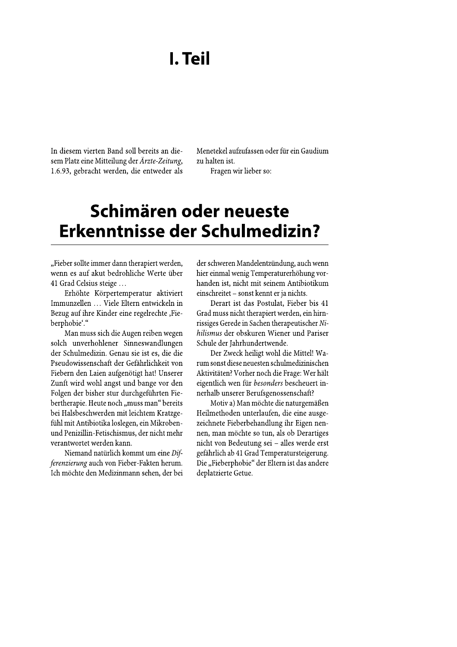# I. Teil

In diesem vierten Band soll bereits an diesem Platz eine Mitteilung der Ärzte-Zeitung, 1.6.93, gebracht werden, die entweder als

Menetekel aufzufassen oder für ein Gaudium zu halten ist.

Fragen wir lieber so:

# Schimären oder neueste Erkenntnisse der Schulmedizin?

"Fieber sollte immer dann therapiert werden, wenn es auf akut bedrohliche Werte über 41 Grad Celsius steige ...

Erhöhte Körpertemperatur aktiviert Immunzellen ... Viele Eltern entwickeln in Bezug auf ihre Kinder eine regelrechte ,Fieberphobie"."

Man muss sich die Augen reiben wegen solch unverhohlener Sinneswandlungen der Schulmedizin. Genau sie ist es, die die Pseudowissenschaft der Gefährlichkeit von Fiebern den Laien aufgenötigt hat! Unserer Zunft wird wohl angst und bange vor den Folgen der bisher stur durchgeführten Fiebertherapie. Heute noch "muss man" bereits bei Halsbeschwerden mit leichtem Kratzgefühl mit Antibiotika loslegen, ein Mikrobenund Penizillin-Fetischismus, der nicht mehr verantwortet werden kann.

Niemand natürlich kommt um eine Differenzierung auch von Fieber-Fakten herum. Ich möchte den Medizinmann sehen, der bei der schweren Mandelentzündung, auch wenn hier einmal wenig Temperaturerhöhung vorhanden ist, nicht mit seinem Antibiotikum einschreitet – sonst kennt er ja nichts.

Derart ist das Postulat, Fieber bis 41 Grad muss nicht therapiert werden, ein hirnrissiges Gerede in Sachen therapeutischer Nihilismus der obskuren Wiener und Pariser Schule der Jahrhundertwende.

Der Zweck heiligt wohl die Mittel! Warum sonst diese neuesten schulmedizinischen Aktivitäten? Vorher noch die Frage: Wer hält eigentlich wen für besonders bescheuert innerhalb unserer Berufsgenossenschaft?

Motiv a) Man möchte die naturgemäßen Heilmethoden unterlaufen, die eine ausgezeichnete Fieberbehandlung ihr Eigen nennen, man möchte so tun, als ob Derartiges nicht von Bedeutung sei - alles werde erst gefährlich ab 41 Grad Temperatursteigerung. Die "Fieberphobie" der Eltern ist das andere deplatzierte Getue.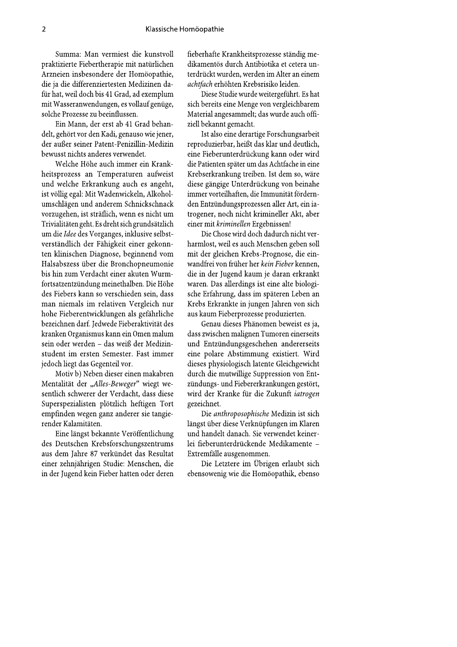Summa: Man vermiest die kunstvoll praktizierte Fiebertherapie mit natürlichen Arzneien insbesondere der Homöopathie, die ja die differenziertesten Medizinen dafür hat, weil doch bis 41 Grad, ad exemplum mit Wasseranwendungen, es vollauf genüge, solche Prozesse zu beeinflussen.

Ein Mann, der erst ab 41 Grad behandelt, gehört vor den Kadi, genauso wie jener, der außer seiner Patent-Penizillin-Medizin bewusst nichts anderes verwendet.

Welche Höhe auch immer ein Krankheitsprozess an Temperaturen aufweist und welche Erkrankung auch es angeht, ist völlig egal: Mit Wadenwickeln, Alkoholumschlägen und anderem Schnickschnack vorzugehen, ist sträflich, wenn es nicht um Trivialitäten geht. Es dreht sich grundsätzlich um die Idee des Vorganges, inklusive selbstverständlich der Fähigkeit einer gekonnten klinischen Diagnose, beginnend vom Halsabszess über die Bronchopneumonie bis hin zum Verdacht einer akuten Wurmfortsatzentzündung meinethalben. Die Höhe des Fiebers kann so verschieden sein, dass man niemals im relativen Vergleich nur hohe Fieberentwicklungen als gefährliche bezeichnen darf. Jedwede Fieberaktivität des kranken Organismus kann ein Omen malum sein oder werden - das weiß der Medizinstudent im ersten Semester. Fast immer jedoch liegt das Gegenteil vor.

Motiv b) Neben dieser einen makabren Mentalität der "Alles-Beweger" wiegt wesentlich schwerer der Verdacht, dass diese Superspezialisten plötzlich heftigen Tort empfinden wegen ganz anderer sie tangierender Kalamitäten.

Eine längst bekannte Veröffentlichung des Deutschen Krebsforschungszentrums aus dem Jahre 87 verkündet das Resultat einer zehnjährigen Studie: Menschen, die in der Jugend kein Fieber hatten oder deren fieberhafte Krankheitsprozesse ständig medikamentös durch Antibiotika et cetera unterdrückt wurden, werden im Alter an einem achtfach erhöhten Krebsrisiko leiden.

Diese Studie wurde weitergeführt. Es hat sich bereits eine Menge von vergleichbarem Material angesammelt; das wurde auch offiziell bekannt gemacht.

Ist also eine derartige Forschungsarbeit reproduzierbar, heißt das klar und deutlich, eine Fieberunterdrückung kann oder wird die Patienten später um das Achtfache in eine Krebserkrankung treiben. Ist dem so, wäre diese gängige Unterdrückung von beinahe immer vorteilhaften, die Immunität fördernden Entzündungsprozessen aller Art, ein iatrogener, noch nicht krimineller Akt, aber einer mit kriminellen Ergebnissen!

Die Chose wird doch dadurch nicht verharmlost, weil es auch Menschen geben soll mit der gleichen Krebs-Prognose, die einwandfrei von früher her kein Fieber kennen, die in der Jugend kaum je daran erkrankt waren. Das allerdings ist eine alte biologische Erfahrung, dass im späteren Leben an Krebs Erkrankte in jungen Jahren von sich aus kaum Fieberprozesse produzierten.

Genau dieses Phänomen beweist es ja, dass zwischen malignen Tumoren einerseits und Entzündungsgeschehen andererseits eine polare Abstimmung existiert. Wird dieses physiologisch latente Gleichgewicht durch die mutwillige Suppression von Entzündungs- und Fiebererkrankungen gestört, wird der Kranke für die Zukunft iatrogen gezeichnet.

Die anthroposophische Medizin ist sich längst über diese Verknüpfungen im Klaren und handelt danach. Sie verwendet keinerlei fieberunterdrückende Medikamente -Extremfälle ausgenommen.

Die Letztere im Übrigen erlaubt sich ebensowenig wie die Homöopathik, ebenso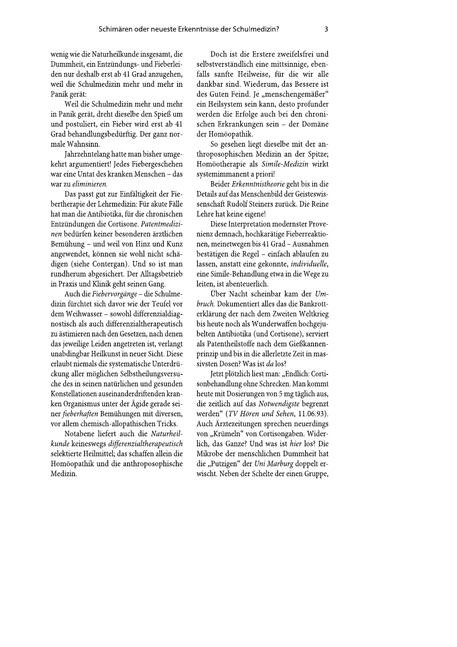wenig wie die Naturheilkunde insgesamt, die Dummheit, ein Entzündungs- und Fieberleiden nur deshalb erst ab 41 Grad anzugehen, weil die Schulmedizin mehr und mehr in Panik gerät:

Weil die Schulmedizin mehr und mehr in Panik gerät, dreht dieselbe den Spieß um und postuliert, ein Fieber wird erst ab 41 Grad behandlungsbedürftig. Der ganz normale Wahnsinn.

Jahrzehntelang hatte man bisher umgekehrt argumentiert! Jedes Fiebergeschehen war eine Untat des kranken Menschen - das war zu eliminieren.

Das passt gut zur Einfältigkeit der Fiebertherapie der Lehrmedizin: Für akute Fälle hat man die Antibiotika, für die chronischen Entzündungen die Cortisone. Patentmedizinen bedürfen keiner besonderen ärztlichen Bemühung - und weil von Hinz und Kunz angewendet, können sie wohl nicht schädigen (siehe Contergan). Und so ist man rundherum abgesichert. Der Alltagsbetrieb in Praxis und Klinik geht seinen Gang.

Auch die Fiebervorgänge - die Schulmedizin fürchtet sich davor wie der Teufel vor dem Weihwasser - sowohl differenzialdiagnostisch als auch differenzialtherapeutisch zu ästimieren nach den Gesetzen, nach denen das jeweilige Leiden angetreten ist, verlangt unabdingbar Heilkunst in neuer Sicht. Diese erlaubt niemals die systematische Unterdrückung aller möglichen Selbstheilungsversuche des in seinen natürlichen und gesunden Konstellationen auseinanderdriftenden kranken Organismus unter der Ägide gerade seiner fieberhaften Bemühungen mit diversen, vor allem chemisch-allopathischen Tricks.

Notabene liefert auch die Naturheilkunde keineswegs differenzialtherapeutisch selektierte Heilmittel; das schaffen allein die Homöopathik und die anthroposophische Medizin.

Doch ist die Erstere zweifelsfrei und selbstverständlich eine mittsinnige, ebenfalls sanfte Heilweise, für die wir alle dankbar sind. Wiederum, das Bessere ist des Guten Feind. Je "menschengemäßer" ein Heilsystem sein kann, desto profunder werden die Erfolge auch bei den chronischen Erkrankungen sein - der Domäne der Homöopathik.

So gesehen liegt dieselbe mit der anthroposophischen Medizin an der Spitze; Homöotherapie als Simile-Medizin wirkt systemimmanent a priori!

Beider Erkenntnistheorie geht bis in die Details auf das Menschenbild der Geisteswissenschaft Rudolf Steiners zurück. Die Reine Lehre hat keine eigene!

Diese Interpretation modernster Provenienz demnach, hochkarätige Fieberreaktionen, meinetwegen bis 41 Grad - Ausnahmen bestätigen die Regel - einfach ablaufen zu lassen, anstatt eine gekonnte, individuelle, eine Simile-Behandlung etwa in die Wege zu leiten, ist abenteuerlich.

Über Nacht scheinbar kam der Umbruch. Dokumentiert alles das die Bankrotterklärung der nach dem Zweiten Weltkrieg bis heute noch als Wunderwaffen hochgejubelten Antibiotika (und Cortisone), serviert als Patentheilstoffe nach dem Gießkannenprinzip und bis in die allerletzte Zeit in massivsten Dosen? Was ist da los?

Jetzt plötzlich liest man: "Endlich: Cortisonbehandlung ohne Schrecken. Man kommt heute mit Dosierungen von 5 mg täglich aus, die zeitlich auf das Notwendigste begrenzt werden" (TV Hören und Sehen, 11.06.93). Auch Ärztezeitungen sprechen neuerdings von "Krümeln" von Cortisongaben. Widerlich, das Ganze? Und was ist hier los? Die Mikrobe der menschlichen Dummheit hat die "Putzigen" der Uni Marburg doppelt erwischt. Neben der Schelte der einen Gruppe,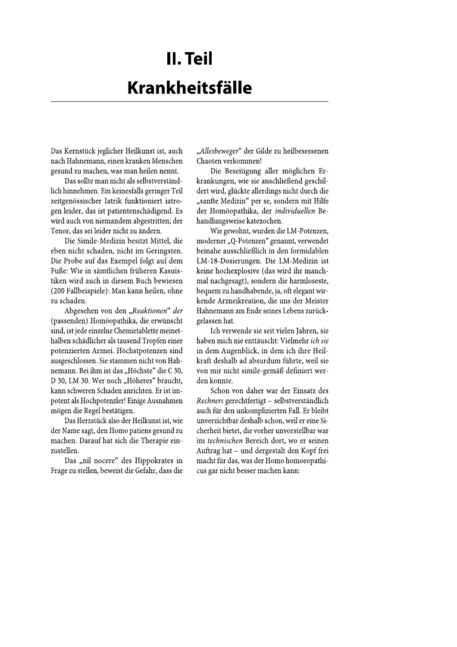# II. Teil **Krankheitsfälle**

Das Kernstück jeglicher Heilkunst ist, auch nach Hahnemann, einen kranken Menschen gesund zu machen, was man heilen nennt.

Das sollte man nicht als selbstverständlich hinnehmen. Ein keinesfalls geringer Teil zeitgenössischer Iatrik funktioniert iatrogen leider, das ist patientenschädigend. Es wird auch von niemandem abgestritten; der Tenor, das sei leider nicht zu ändern.

Die Simile-Medizin besitzt Mittel, die eben nicht schaden, nicht im Geringsten. Die Probe auf das Exempel folgt auf dem Fuße: Wie in sämtlichen früheren Kasuistiken wird auch in diesem Buch bewiesen (200 Fallbeispiele): Man kann heilen, ohne zu schaden.

Abgesehen von den "Reaktionen" der (passenden) Homöopathika, die erwünscht sind, ist jede einzelne Chemietablette meinethalben schädlicher als tausend Tropfen einer potenzierten Arznei. Höchstpotenzen sind ausgeschlossen. Sie stammen nicht von Hahnemann. Bei ihm ist das "Höchste" die C 30, D 30, LM 30. Wer noch "Höheres" braucht, kann schweren Schaden anrichten. Er ist impotent als Hochpotenzler! Einige Ausnahmen mögen die Regel bestätigen.

Das Herzstück also der Heilkunst ist, wie der Name sagt, den Homo patiens gesund zu machen. Darauf hat sich die Therapie einzustellen.

Das "nil nocere" des Hippokrates in Frage zu stellen, beweist die Gefahr, dass die "Allesbeweger" der Gilde zu heilbesessenen Chaoten verkommen!

Die Beseitigung aller möglichen Erkrankungen, wie sie anschließend geschildert wird, glückte allerdings nicht durch die "sanfte Medizin" per se, sondern mit Hilfe der Homöopathika, der individuellen Behandlungsweise katexochen.

Wie gewohnt, wurden die LM-Potenzen, moderner "Q-Potenzen" genannt, verwendet beinahe ausschließlich in den formidablen LM-18-Dosierungen. Die LM-Medizin ist keine hochexplosive (das wird ihr manchmal nachgesagt), sondern die harmloseste, bequem zu handhabende, ja, oft elegant wirkende Arzneikreation, die uns der Meister Hahnemann am Ende seines Lebens zurückgelassen hat.

Ich verwende sie seit vielen Jahren, sie haben mich nie enttäuscht: Vielmehr ich sie in dem Augenblick, in dem ich ihre Heilkraft deshalb ad absurdum führte, weil sie von mir nicht simile-gemäß definiert werden konnte.

Schon von daher war der Einsatz des Rechners gerechtfertigt - selbstverständlich auch für den unkomplizierten Fall. Er bleibt unverzichtbar deshalb schon, weil er eine Sicherheit bietet, die vorher unvorstellbar war im technischen Bereich dort, wo er seinen Auftrag hat - und dergestalt den Kopf frei macht für das, was der Homo homoeopathicus gar nicht besser machen kann: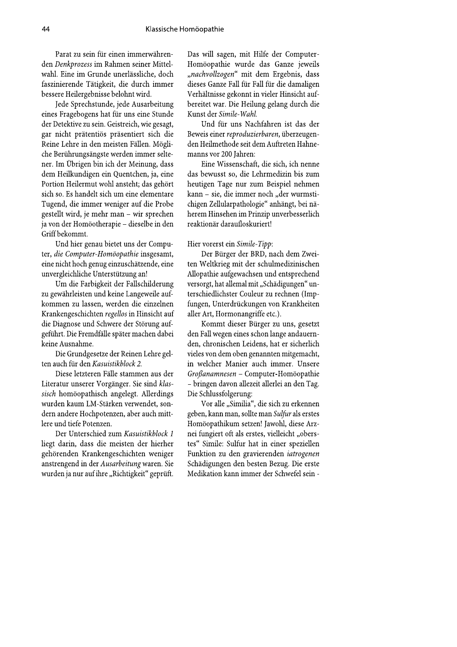Parat zu sein für einen immerwährenden Denkprozess im Rahmen seiner Mittelwahl. Eine im Grunde unerlässliche, doch faszinierende Tätigkeit, die durch immer bessere Heilergebnisse belohnt wird.

Jede Sprechstunde, jede Ausarbeitung eines Fragebogens hat für uns eine Stunde der Detektive zu sein. Geistreich, wie gesagt, gar nicht prätentiös präsentiert sich die Reine Lehre in den meisten Fällen. Mögliche Berührungsängste werden immer seltener. Im Übrigen bin ich der Meinung, dass dem Heilkundigen ein Quentchen, ja, eine Portion Heilermut wohl ansteht; das gehört sich so. Es handelt sich um eine elementare Tugend, die immer weniger auf die Probe gestellt wird, je mehr man - wir sprechen ja von der Homöotherapie - dieselbe in den Griff bekommt.

Und hier genau bietet uns der Computer, die Computer-Homöopathie insgesamt, eine nicht hoch genug einzuschätzende, eine unvergleichliche Unterstützung an!

Um die Farbigkeit der Fallschilderung zu gewährleisten und keine Langeweile aufkommen zu lassen, werden die einzelnen Krankengeschichten regellos in Hinsicht auf die Diagnose und Schwere der Störung aufgeführt. Die Fremdfälle später machen dabei keine Ausnahme.

Die Grundgesetze der Reinen Lehre gelten auch für den Kasuistikblock 2.

Diese letzteren Fälle stammen aus der Literatur unserer Vorgänger. Sie sind klassisch homöopathisch angelegt. Allerdings wurden kaum LM-Stärken verwendet, sondern andere Hochpotenzen, aber auch mittlere und tiefe Potenzen.

Der Unterschied zum Kasuistikblock 1 liegt darin, dass die meisten der hierher gehörenden Krankengeschichten weniger anstrengend in der Ausarbeitung waren. Sie wurden ja nur auf ihre "Richtigkeit" geprüft. Das will sagen, mit Hilfe der Computer-Homöopathie wurde das Ganze jeweils "nachvollzogen" mit dem Ergebnis, dass dieses Ganze Fall für Fall für die damaligen Verhältnisse gekonnt in vieler Hinsicht aufbereitet war. Die Heilung gelang durch die Kunst der Simile-Wahl.

Und für uns Nachfahren ist das der Beweis einer reproduzierbaren, überzeugenden Heilmethode seit dem Auftreten Hahnemanns vor 200 Jahren:

Eine Wissenschaft, die sich, ich nenne das bewusst so, die Lehrmedizin bis zum heutigen Tage nur zum Beispiel nehmen kann - sie, die immer noch "der wurmstichigen Zellularpathologie" anhängt, bei näherem Hinsehen im Prinzip unverbesserlich reaktionär daraufloskuriert!

#### Hier vorerst ein Simile-Tipp:

Der Bürger der BRD, nach dem Zweiten Weltkrieg mit der schulmedizinischen Allopathie aufgewachsen und entsprechend versorgt, hat allemal mit "Schädigungen" unterschiedlichster Couleur zu rechnen (Impfungen, Unterdrückungen von Krankheiten aller Art, Hormonangriffe etc.).

Kommt dieser Bürger zu uns, gesetzt den Fall wegen eines schon lange andauernden, chronischen Leidens, hat er sicherlich vieles von dem oben genannten mitgemacht, in welcher Manier auch immer. Unsere Großanamnesen - Computer-Homöopathie - bringen davon allezeit allerlei an den Tag. Die Schlussfolgerung:

Vor alle "Similia", die sich zu erkennen geben, kann man, sollte man Sulfur als erstes Homöopathikum setzen! Jawohl, diese Arznei fungiert oft als erstes, vielleicht "oberstes" Simile: Sulfur hat in einer speziellen Funktion zu den gravierenden iatrogenen Schädigungen den besten Bezug. Die erste Medikation kann immer der Schwefel sein -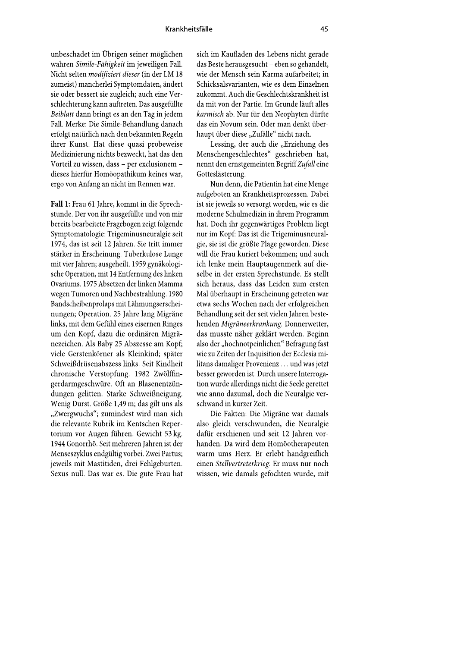unbeschadet im Übrigen seiner möglichen wahren Simile-Fähigkeit im jeweiligen Fall. Nicht selten modifiziert dieser (in der LM 18 zumeist) mancherlei Symptomdaten, ändert sie oder bessert sie zugleich; auch eine Verschlechterung kann auftreten. Das ausgefüllte Beiblatt dann bringt es an den Tag in jedem Fall. Merke: Die Simile-Behandlung danach erfolgt natürlich nach den bekannten Regeln ihrer Kunst. Hat diese quasi probeweise Medizinierung nichts bezweckt, hat das den Vorteil zu wissen, dass - per exclusionem dieses hierfür Homöopathikum keines war, ergo von Anfang an nicht im Rennen war.

Fall 1: Frau 61 Jahre, kommt in die Sprechstunde. Der von ihr ausgefüllte und von mir bereits bearbeitete Fragebogen zeigt folgende Symptomatologie: Trigeminusneuralgie seit 1974, das ist seit 12 Jahren. Sie tritt immer stärker in Erscheinung. Tuberkulose Lunge mit vier Jahren; ausgeheilt. 1959 gynäkologische Operation, mit 14 Entfernung des linken Ovariums. 1975 Absetzen der linken Mamma wegen Tumoren und Nachbestrahlung. 1980 Bandscheibenprolaps mit Lähmungserscheinungen; Operation. 25 Jahre lang Migräne links, mit dem Gefühl eines eisernen Ringes um den Kopf, dazu die ordinären Migränezeichen. Als Baby 25 Abszesse am Kopf; viele Gerstenkörner als Kleinkind; später Schweißdrüsenabszess links. Seit Kindheit chronische Verstopfung. 1982 Zwölffingerdarmgeschwüre. Oft an Blasenentzündungen gelitten. Starke Schweißneigung. Wenig Durst. Größe 1,49 m; das gilt uns als "Zwergwuchs"; zumindest wird man sich die relevante Rubrik im Kentschen Repertorium vor Augen führen. Gewicht 53 kg. 1944 Gonorrhö. Seit mehreren Jahren ist der Menseszyklus endgültig vorbei. Zwei Partus; jeweils mit Mastitiden, drei Fehlgeburten. Sexus null. Das war es. Die gute Frau hat

sich im Kaufladen des Lebens nicht gerade das Beste herausgesucht – eben so gehandelt, wie der Mensch sein Karma aufarbeitet; in Schicksalsvarianten, wie es dem Einzelnen zukommt. Auch die Geschlechtskrankheit ist da mit von der Partie. Im Grunde läuft alles karmisch ab. Nur für den Neophyten dürfte das ein Novum sein. Oder man denkt überhaupt über diese "Zufälle" nicht nach.

Lessing, der auch die "Erziehung des Menschengeschlechtes" geschrieben hat, nennt den ernstgemeinten Begriff Zufall eine Gotteslästerung.

Nun denn, die Patientin hat eine Menge aufgeboten an Krankheitsprozessen. Dabei ist sie jeweils so versorgt worden, wie es die moderne Schulmedizin in ihrem Programm hat. Doch ihr gegenwärtiges Problem liegt nur im Kopf: Das ist die Trigeminusneuralgie, sie ist die größte Plage geworden. Diese will die Frau kuriert bekommen; und auch ich lenke mein Hauptaugenmerk auf dieselbe in der ersten Sprechstunde. Es stellt sich heraus, dass das Leiden zum ersten Mal überhaupt in Erscheinung getreten war etwa sechs Wochen nach der erfolgreichen Behandlung seit der seit vielen Jahren bestehenden Migräneerkrankung. Donnerwetter, das musste näher geklärt werden. Beginn also der "hochnotpeinlichen" Befragung fast wie zu Zeiten der Inquisition der Ecclesia militans damaliger Provenienz ... und was jetzt besser geworden ist. Durch unsere Interrogation wurde allerdings nicht die Seele gerettet wie anno dazumal, doch die Neuralgie verschwand in kurzer Zeit.

Die Fakten: Die Migräne war damals also gleich verschwunden, die Neuralgie dafür erschienen und seit 12 Jahren vorhanden. Da wird dem Homöotherapeuten warm ums Herz. Er erlebt handgreiflich einen Stellvertreterkrieg. Er muss nur noch wissen, wie damals gefochten wurde, mit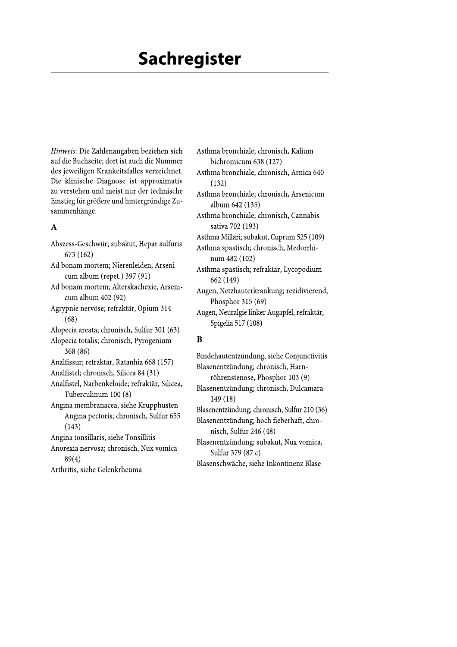# **Sachregister**

Hinweis: Die Zahlenangaben beziehen sich auf die Buchseite; dort ist auch die Nummer des jeweiligen Krankeitsfalles verzeichnet. Die klinische Diagnose ist approximativ zu verstehen und meist nur der technische Einstieg für größere und hintergründige Zusammenhänge.

#### $\mathbf{A}$

Abszess-Geschwür; subakut, Hepar sulfuris 673 (162) Ad bonam mortem; Nierenleiden, Arsenicum album (repet.) 397 (91) Ad bonam mortem; Alterskachexie, Arsenicum album 402 (92) Agrypnie nervöse; refraktär, Opium 314  $(68)$ Alopecia areata; chronisch, Sulfur 301 (63) Alopecia totalis; chronisch, Pyrogenium 368 (86) Analfissur; refraktär, Ratanhia 668 (157) Analfistel; chronisch, Silicea 84 (31) Analfistel, Narbenkeloide; refraktär, Silicea, Tuberculinum 100 (8) Angina membranacea, siehe Krupphusten Angina pectoris; chronisch, Sulfur 655  $(143)$ Angina tonsillaris, siehe Tonsillitis Anorexia nervosa; chronisch, Nux vomica  $89(4)$ Arthritis, siehe Gelenkrheuma

bichromicum 638 (127) Asthma bronchiale; chronisch, Arnica 640  $(132)$ Asthma bronchiale; chronisch, Arsenicum album 642 (135) Asthma bronchiale; chronisch, Cannabis sativa 702 (193) Asthma Millari; subakut, Cuprum 525 (109) Asthma spastisch; chronisch, Medorrhinum 482 (102) Asthma spastisch; refraktär, Lycopodium 662 (149) Augen, Netzhauterkrankung; rezidivierend, Phosphor 315 (69) Augen, Neuralgie linker Augapfel, refraktär, Spigelia 517 (108)

Asthma bronchiale; chronisch, Kalium

#### B

Bindehautentzündung, siehe Conjunctivitis Blasenentzündung; chronisch, Harnröhrenstenose, Phosphor 103 (9) Blasenentzündung; chronisch, Dulcamara  $149(18)$ Blasenentzündung; chronisch, Sulfur 210 (36) Blasenentzündung; hoch fieberhaft, chronisch, Sulfur 246 (48) Blasenentzündung; subakut, Nux vomica, Sulfur 379 (87 c) Blasenschwäche, siehe Inkontinenz Blase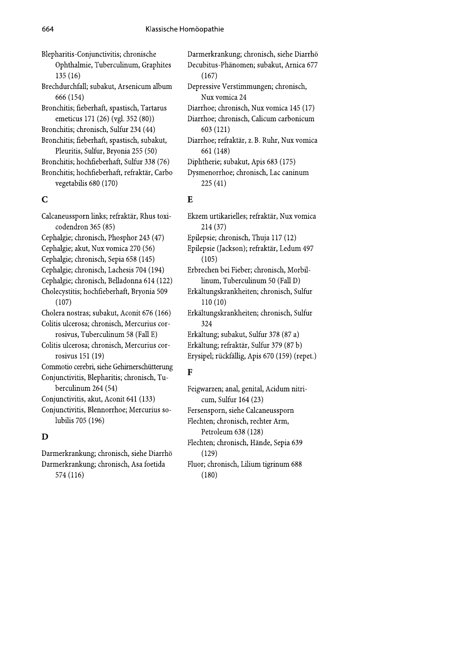Blepharitis-Conjunctivitis; chronische Ophthalmie, Tuberculinum, Graphites  $135(16)$ Brechdurchfall; subakut, Arsenicum album 666 (154) Bronchitis; fieberhaft, spastisch, Tartarus emeticus 171 (26) (vgl. 352 (80)) Bronchitis; chronisch, Sulfur 234 (44) Bronchitis; fieberhaft, spastisch, subakut, Pleuritis, Sulfur, Bryonia 255 (50) Bronchitis; hochfieberhaft, Sulfur 338 (76) Bronchitis; hochfieberhaft, refraktär, Carbo vegetabilis 680 (170)

#### $\mathbf C$

Calcaneussporn links; refraktär, Rhus toxicodendron 365 (85) Cephalgie; chronisch, Phosphor 243 (47) Cephalgie; akut, Nux vomica 270 (56) Cephalgie; chronisch, Sepia 658 (145) Cephalgie; chronisch, Lachesis 704 (194) Cephalgie; chronisch, Belladonna 614 (122) Cholecystitis; hochfieberhaft, Bryonia 509  $(107)$ Cholera nostras; subakut, Aconit 676 (166) Colitis ulcerosa; chronisch, Mercurius corrosivus, Tuberculinum 58 (Fall E) Colitis ulcerosa; chronisch, Mercurius corrosivus 151 (19) Commotio cerebri, siehe Gehirnerschütterung Conjunctivitis, Blepharitis; chronisch, Tuberculinum 264 (54) Conjunctivitis, akut, Aconit 641 (133) Conjunctivitis, Blennorrhoe; Mercurius solubilis 705 (196)

#### D

Darmerkrankung; chronisch, siehe Diarrhö Darmerkrankung; chronisch, Asa foetida 574 (116)

Darmerkrankung; chronisch, siehe Diarrhö Decubitus-Phänomen; subakut, Arnica 677  $(167)$ Depressive Verstimmungen; chronisch, Nux vomica 24 Diarrhoe; chronisch, Nux vomica 145 (17) Diarrhoe; chronisch, Calicum carbonicum 603 (121) Diarrhoe; refraktär, z. B. Ruhr, Nux vomica 661 (148) Diphtherie; subakut, Apis 683 (175) Dysmenorrhoe; chronisch, Lac caninum  $225(41)$ 

#### $E$

Ekzem urtikarielles: refraktär, Nux vomica  $214(37)$ Epilepsie; chronisch, Thuja 117 (12) Epilepsie (Jackson); refraktär, Ledum 497  $(105)$ Erbrechen bei Fieber; chronisch, Morbillinum, Tuberculinum 50 (Fall D) Erkältungskrankheiten; chronisch, Sulfur  $110(10)$ Erkältungskrankheiten; chronisch, Sulfur 324 Erkältung; subakut, Sulfur 378 (87 a) Erkältung; refraktär, Sulfur 379 (87 b) Erysipel; rückfällig, Apis 670 (159) (repet.)

#### $\mathbf{F}$

Feigwarzen; anal, genital, Acidum nitricum, Sulfur 164 (23) Fersensporn, siehe Calcaneussporn Flechten; chronisch, rechter Arm, Petroleum 638 (128) Flechten; chronisch, Hände, Sepia 639  $(129)$ Fluor; chronisch, Lilium tigrinum 688  $(180)$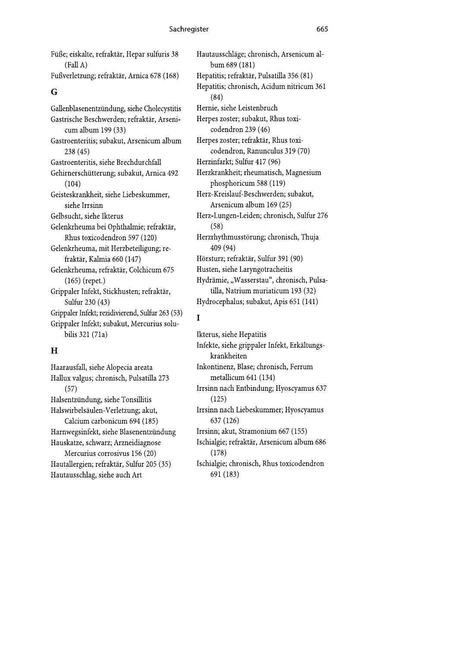Füße; eiskalte, refraktär, Hepar sulfuris 38  $(Fall A)$ Fußverletzung; refraktär, Arnica 678 (168)

## G

Gallenblasenentzündung, siehe Cholecystitis Gastrische Beschwerden; refraktär, Arsenicum album 199 (33) Gastroenteritis; subakut, Arsenicum album  $238(45)$ Gastroenteritis, siehe Brechdurchfall Gehirnerschütterung; subakut, Arnica 492  $(104)$ Geisteskrankheit, siehe Liebeskummer, siehe Irrsinn Gelbsucht, siehe Ikterus Gelenkrheuma bei Ophthalmie; refraktär, Rhus toxicodendron 597 (120) Gelenkrheuma, mit Herzbeteiligung; refraktär, Kalmia 660 (147) Gelenkrheuma, refraktär, Colchicum 675  $(165)$  (repet.) Grippaler Infekt, Stickhusten; refraktär, Sulfur 230 (43) Grippaler Infekt; rezidivierend, Sulfur 263 (53) Grippaler Infekt; subakut, Mercurius solubilis 321 (71a)

## $H$

Haarausfall, siehe Alopecia areata Hallux valgus; chronisch, Pulsatilla 273  $(57)$ Halsentzündung, siehe Tonsillitis Halswirbelsäulen-Verletzung; akut, Calcium carbonicum 694 (185) Harnwegsinfekt, siehe Blasenentzündung Hauskatze, schwarz; Arzneidiagnose Mercurius corrosivus 156 (20) Hautallergien; refraktär, Sulfur 205 (35) Hautausschlag, siehe auch Art

Hautausschläge; chronisch, Arsenicum album 689 (181) Hepatitis; refraktär, Pulsatilla 356 (81) Hepatitis; chronisch, Acidum nitricum 361  $(84)$ Hernie, siehe Leistenbruch Herpes zoster; subakut, Rhus toxicodendron 239 (46) Herpes zoster; refraktär, Rhus toxicodendron, Ranunculus 319 (70) Herzinfarkt; Sulfur 417 (96) Herzkrankheit; rheumatisch, Magnesium phosphoricum 588 (119) Herz-Kreislauf-Beschwerden; subakut, Arsenicum album 169 (25) Herz-Lungen-Leiden; chronisch, Sulfur 276  $(58)$ Herzrhythmusstörung; chronisch, Thuja 409 (94) Hörsturz; refraktär, Sulfur 391 (90) Husten, siehe Laryngotracheitis Hydrämie, "Wasserstau", chronisch, Pulsatilla, Natrium muriaticum 193 (32) Hydrocephalus; subakut, Apis 651 (141)

# $\mathbf{I}$

Ikterus, siehe Hepatitis Infekte, siehe grippaler Infekt, Erkältungskrankheiten Inkontinenz, Blase; chronisch, Ferrum metallicum 641 (134) Irrsinn nach Entbindung; Hyoscyamus 637  $(125)$ Irrsinn nach Liebeskummer; Hyoscyamus 637 (126) Irrsinn; akut, Stramonium 667 (155) Ischialgie; refraktär, Arsenicum album 686  $(178)$ Ischialgie; chronisch, Rhus toxicodendron 691 (183)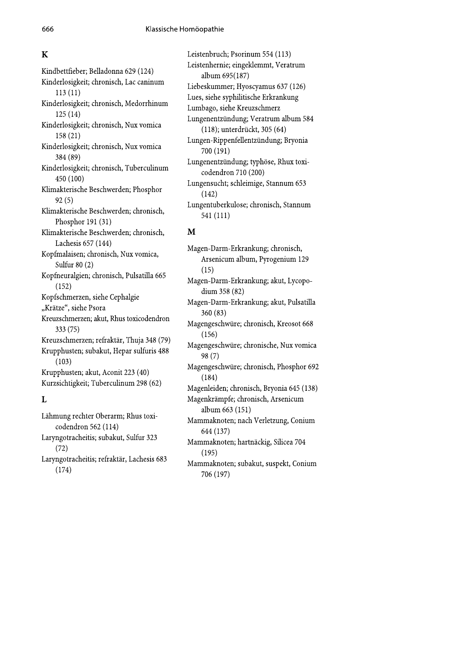# $\overline{\mathbf{K}}$

Kindbettfieber; Belladonna 629 (124) Kinderlosigkeit; chronisch, Lac caninum  $113(11)$ Kinderlosigkeit; chronisch, Medorrhinum  $125(14)$ Kinderlosigkeit; chronisch, Nux vomica  $158(21)$ Kinderlosigkeit; chronisch, Nux vomica 384 (89) Kinderlosigkeit; chronisch, Tuberculinum 450 (100) Klimakterische Beschwerden; Phosphor  $92(5)$ Klimakterische Beschwerden; chronisch, Phosphor 191 (31) Klimakterische Beschwerden; chronisch, Lachesis 657 (144) Kopfmalaisen; chronisch, Nux vomica, Sulfur 80 (2) Kopfneuralgien; chronisch, Pulsatilla 665  $(152)$ Kopfschmerzen, siehe Cephalgie "Krätze", siehe Psora Kreuzschmerzen; akut, Rhus toxicodendron  $333(75)$ Kreuzschmerzen; refraktär, Thuja 348 (79) Krupphusten; subakut, Hepar sulfuris 488  $(103)$ Krupphusten; akut, Aconit 223 (40) Kurzsichtigkeit; Tuberculinum 298 (62) L

## Lähmung rechter Oberarm; Rhus toxicodendron 562 (114) Laryngotracheitis; subakut, Sulfur 323  $(72)$ Laryngotracheitis; refraktär, Lachesis 683  $(174)$

Leistenbruch; Psorinum 554 (113) Leistenhernie; eingeklemmt, Veratrum album 695(187) Liebeskummer; Hyoscyamus 637 (126) Lues, siehe syphilitische Erkrankung Lumbago, siehe Kreuzschmerz Lungenentzündung; Veratrum album 584 (118); unterdrückt, 305 (64) Lungen-Rippenfellentzündung; Bryonia 700 (191) Lungenentzündung; typhöse, Rhux toxicodendron 710 (200) Lungensucht; schleimige, Stannum 653  $(142)$ Lungentuberkulose; chronisch, Stannum 541 (111)

# M

Magen-Darm-Erkrankung; chronisch, Arsenicum album, Pyrogenium 129  $(15)$ Magen-Darm-Erkrankung; akut, Lycopodium 358 (82) Magen-Darm-Erkrankung; akut, Pulsatilla  $360(83)$ Magengeschwüre; chronisch, Kreosot 668  $(156)$ Magengeschwüre; chronische, Nux vomica  $98(7)$ Magengeschwüre; chronisch, Phosphor 692  $(184)$ Magenleiden; chronisch, Bryonia 645 (138) Magenkrämpfe; chronisch, Arsenicum album 663 (151) Mammaknoten; nach Verletzung, Conium 644 (137) Mammaknoten; hartnäckig, Silicea 704  $(195)$ Mammaknoten; subakut, suspekt, Conium 706 (197)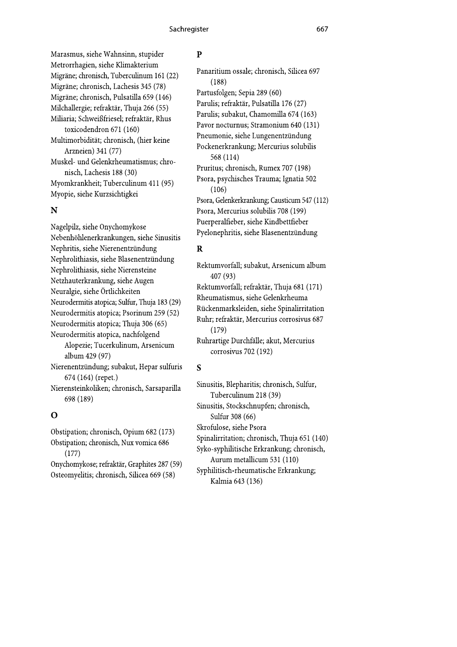Marasmus, siehe Wahnsinn, stupider Metrorrhagien, siehe Klimakterium Migräne; chronisch, Tuberculinum 161 (22) Migräne; chronisch, Lachesis 345 (78) Migräne; chronisch, Pulsatilla 659 (146) Milchallergie; refraktär, Thuja 266 (55) Miliaria; Schweißfriesel; refraktär, Rhus

toxicodendron 671 (160) Multimorbidität; chronisch, (hier keine Arzneien) 341 (77)

Muskel- und Gelenkrheumatismus; chronisch, Lachesis 188 (30) Myomkrankheit: Tuberculinum 411 (95) Myopie, siehe Kurzsichtigkei

#### N

Nagelpilz, siehe Onychomykose Nebenhöhlenerkrankungen, siehe Sinusitis Nephritis, siehe Nierenentzündung Nephrolithiasis, siehe Blasenentzündung Nephrolithiasis, siehe Nierensteine Netzhauterkrankung, siehe Augen Neuralgie, siehe Örtlichkeiten Neurodermitis atopica; Sulfur, Thuja 183 (29) Neurodermitis atopica; Psorinum 259 (52) Neurodermitis atopica; Thuja 306 (65) Neurodermitis atopica, nachfolgend Alopezie; Tucerkulinum, Arsenicum album 429 (97) Nierenentzündung; subakut, Hepar sulfuris

674 (164) (repet.) Nierensteinkoliken; chronisch, Sarsaparilla 698 (189)

#### $\mathbf O$

Obstipation; chronisch, Opium 682 (173) Obstipation; chronisch, Nux vomica 686  $(177)$ Onychomykose; refraktär, Graphites 287 (59) Osteomyelitis; chronisch, Silicea 669 (58)

#### $\mathbf{p}$

Panaritium ossale; chronisch, Silicea 697  $(188)$ Partusfolgen; Sepia 289 (60) Parulis; refraktär, Pulsatilla 176 (27) Parulis; subakut, Chamomilla 674 (163) Pavor nocturnus; Stramonium 640 (131) Pneumonie, siehe Lungenentzündung Pockenerkrankung; Mercurius solubilis 568 (114) Pruritus; chronisch, Rumex 707 (198) Psora, psychisches Trauma; Ignatia 502  $(106)$ Psora, Gelenkerkrankung; Causticum 547 (112) Psora, Mercurius solubilis 708 (199) Puerperalfieber, siehe Kindbettfieber Pyelonephritis, siehe Blasenentzündung

# $\overline{\mathbf{R}}$

Rektumvorfall; subakut, Arsenicum album 407 (93) Rektumvorfall; refraktär, Thuja 681 (171) Rheumatismus, siehe Gelenkrheuma Rückenmarksleiden, siehe Spinalirritation Ruhr; refraktär, Mercurius corrosivus 687  $(179)$ Ruhrartige Durchfälle; akut, Mercurius corrosivus 702 (192)

#### $\mathbf S$

Sinusitis, Blepharitis; chronisch, Sulfur, Tuberculinum 218 (39) Sinusitis, Stockschnupfen; chronisch, Sulfur 308 (66) Skrofulose, siehe Psora Spinalirritation; chronisch, Thuja 651 (140) Syko-syphilitische Erkrankung; chronisch, Aurum metallicum 531 (110) Syphilitisch-rheumatische Erkrankung; Kalmia 643 (136)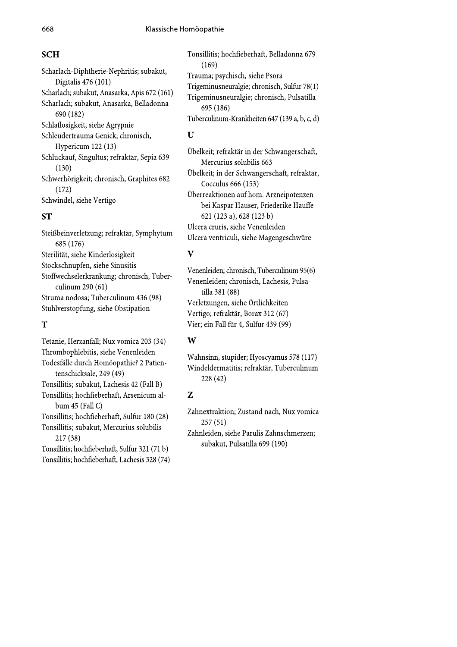## **SCH**

Scharlach-Diphtherie-Nephritis; subakut, Digitalis 476 (101) Scharlach; subakut, Anasarka, Apis 672 (161) Scharlach; subakut, Anasarka, Belladonna 690 (182) Schlaflosigkeit, siehe Agrypnie Schleudertrauma Genick; chronisch, Hypericum 122 (13) Schluckauf, Singultus; refraktär, Sepia 639  $(130)$ Schwerhörigkeit; chronisch, Graphites 682  $(172)$ Schwindel, siehe Vertigo

# **ST**

Steißbeinverletzung; refraktär, Symphytum 685 (176) Sterilität, siehe Kinderlosigkeit Stockschnupfen, siehe Sinusitis Stoffwechselerkrankung; chronisch, Tuberculinum 290 (61) Struma nodosa; Tuberculinum 436 (98) Stuhlverstopfung, siehe Obstipation

#### T

Tetanie, Herzanfall; Nux vomica 203 (34) Thrombophlebitis, siehe Venenleiden Todesfälle durch Homöopathie? 2 Patientenschicksale, 249 (49) Tonsillitis; subakut, Lachesis 42 (Fall B) Tonsillitis; hochfieberhaft, Arsenicum album  $45$  (Fall C) Tonsillitis; hochfieberhaft, Sulfur 180 (28) Tonsillitis; subakut, Mercurius solubilis  $217(38)$ Tonsillitis; hochfieberhaft, Sulfur 321 (71 b)

Tonsillitis; hochfieberhaft, Lachesis 328 (74)

Tonsillitis; hochfieberhaft, Belladonna 679  $(169)$ Trauma; psychisch, siehe Psora Trigeminusneuralgie; chronisch, Sulfur 78(1) Trigeminusneuralgie; chronisch, Pulsatilla 695 (186) Tuberculinum-Krankheiten 647 (139 a, b, c, d)

#### $\mathbf{U}$

Übelkeit; refraktär in der Schwangerschaft, Mercurius solubilis 663 Übelkeit; in der Schwangerschaft, refraktär, Cocculus 666 (153) Überreaktionen auf hom. Arzneipotenzen bei Kaspar Hauser, Friederike Hauffe 621 (123 a), 628 (123 b) Ulcera cruris, siehe Venenleiden Ulcera ventriculi, siehe Magengeschwüre

#### $\overline{\mathbf{V}}$

Venenleiden; chronisch, Tuberculinum 95(6) Venenleiden; chronisch, Lachesis, Pulsatilla 381 (88) Verletzungen, siehe Örtlichkeiten Vertigo; refraktär, Borax 312 (67) Vier; ein Fall für 4, Sulfur 439 (99)

## W

Wahnsinn, stupider; Hyoscyamus 578 (117) Windeldermatitis; refraktär, Tuberculinum 228 (42)

#### $\overline{Z}$

Zahnextraktion; Zustand nach, Nux vomica  $257(51)$ Zahnleiden, siehe Parulis Zahnschmerzen;

subakut, Pulsatilla 699 (190)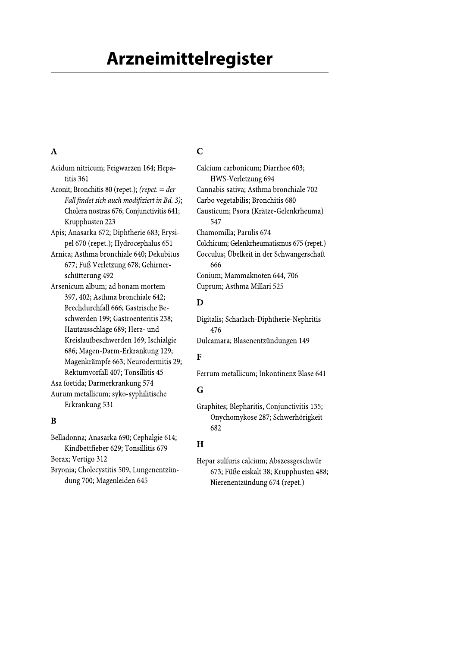# **Arzneimittelregister**

# $\mathbf{A}$

Acidum nitricum; Feigwarzen 164; Hepatitis 361 Aconit; Bronchitis 80 (repet.); (repet. =  $der$ Fall findet sich auch modifiziert in Bd. 3); Cholera nostras 676; Conjunctivitis 641; Krupphusten 223 Apis; Anasarka 672; Diphtherie 683; Erysipel 670 (repet.); Hydrocephalus 651 Arnica; Asthma bronchiale 640; Dekubitus 677; Fuß Verletzung 678; Gehirnerschütterung 492 Arsenicum album; ad bonam mortem 397, 402; Asthma bronchiale 642; Brechdurchfall 666; Gastrische Beschwerden 199; Gastroenteritis 238; Hautausschläge 689; Herz- und Kreislaufbeschwerden 169; Ischialgie 686; Magen-Darm-Erkrankung 129; Magenkrämpfe 663; Neurodermitis 29; Rektumvorfall 407; Tonsillitis 45 Asa foetida; Darmerkrankung 574

Aurum metallicum; syko-syphilitische Erkrankung 531

#### $\bf{B}$

Belladonna; Anasarka 690; Cephalgie 614; Kindbettfieber 629; Tonsillitis 679 Borax; Vertigo 312 Bryonia; Cholecystitis 509; Lungenentzündung 700; Magenleiden 645

# $\overline{C}$

Calcium carbonicum; Diarrhoe 603; HWS-Verletzung 694 Cannabis sativa; Asthma bronchiale 702 Carbo vegetabilis; Bronchitis 680 Causticum; Psora (Krätze-Gelenkrheuma) 547 Chamomilla: Parulis 674 Colchicum; Gelenkrheumatismus 675 (repet.) Cocculus; Übelkeit in der Schwangerschaft 666 Conium; Mammaknoten 644, 706 Cuprum; Asthma Millari 525

# D

Digitalis; Scharlach-Diphtherie-Nephritis 476 Dulcamara; Blasenentzündungen 149

# $\overline{\mathbf{F}}$

Ferrum metallicum: Inkontinenz Blase 641

# G

Graphites; Blepharitis, Conjunctivitis 135; Onychomykose 287; Schwerhörigkeit 682

# $H$

Hepar sulfuris calcium; Abszessgeschwür 673; Füße eiskalt 38; Krupphusten 488; Nierenentzündung 674 (repet.)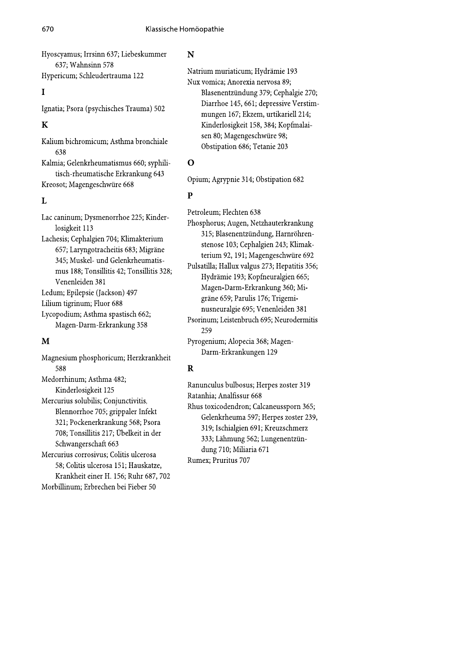Hyoscyamus; Irrsinn 637; Liebeskummer 637; Wahnsinn 578

Hypericum; Schleudertrauma 122

#### $\mathbf I$

Ignatia; Psora (psychisches Trauma) 502

# $\overline{\mathbf{K}}$

Kalium bichromicum; Asthma bronchiale 638

Kalmia; Gelenkrheumatismus 660; syphilitisch-rheumatische Erkrankung 643 Kreosot; Magengeschwüre 668

# $\mathbf{I}$

Lac caninum; Dysmenorrhoe 225; Kinderlosigkeit 113 Lachesis; Cephalgien 704; Klimakterium 657; Laryngotracheitis 683; Migräne 345; Muskel- und Gelenkrheumatismus 188; Tonsillitis 42; Tonsillitis 328; Venenleiden 381 Ledum; Epilepsie (Jackson) 497 Lilium tigrinum; Fluor 688 Lycopodium; Asthma spastisch 662; Magen-Darm-Erkrankung 358

#### M

Magnesium phosphoricum; Herzkrankheit 588 Medorrhinum; Asthma 482; Kinderlosigkeit 125 Mercurius solubilis; Conjunctivitis, Blennorrhoe 705; grippaler Infekt 321; Pockenerkrankung 568; Psora 708; Tonsillitis 217; Übelkeit in der Schwangerschaft 663 Mercurius corrosivus; Colitis ulcerosa 58; Colitis ulcerosa 151; Hauskatze, Krankheit einer H. 156; Ruhr 687, 702 Morbillinum; Erbrechen bei Fieber 50

#### N

Natrium muriaticum; Hydrämie 193 Nux vomica; Anorexia nervosa 89; Blasenentzündung 379; Cephalgie 270; Diarrhoe 145, 661; depressive Verstimmungen 167; Ekzem, urtikariell 214; Kinderlosigkeit 158, 384; Kopfmalaisen 80; Magengeschwüre 98; Obstipation 686; Tetanie 203

# $\mathbf O$

Opium; Agrypnie 314; Obstipation 682

# $\overline{P}$

Petroleum; Flechten 638 Phosphorus; Augen, Netzhauterkrankung 315; Blasenentzündung, Harnröhrenstenose 103; Cephalgien 243; Klimakterium 92, 191; Magengeschwüre 692

Pulsatilla; Hallux valgus 273; Hepatitis 356; Hydrämie 193; Kopfneuralgien 665; Magen-Darm-Erkrankung 360; Migräne 659; Parulis 176; Trigeminusneuralgie 695; Venenleiden 381 Psorinum; Leistenbruch 695; Neurodermitis

259 Pyrogenium; Alopecia 368; Magen-

Darm-Erkrankungen 129

# $\mathbf R$

Ranunculus bulbosus; Herpes zoster 319 Ratanhia; Analfissur 668 Rhus toxicodendron; Calcaneussporn 365; Gelenkrheuma 597; Herpes zoster 239, 319; Ischialgien 691; Kreuzschmerz 333; Lähmung 562; Lungenentzündung 710; Miliaria 671 Rumex; Pruritus 707